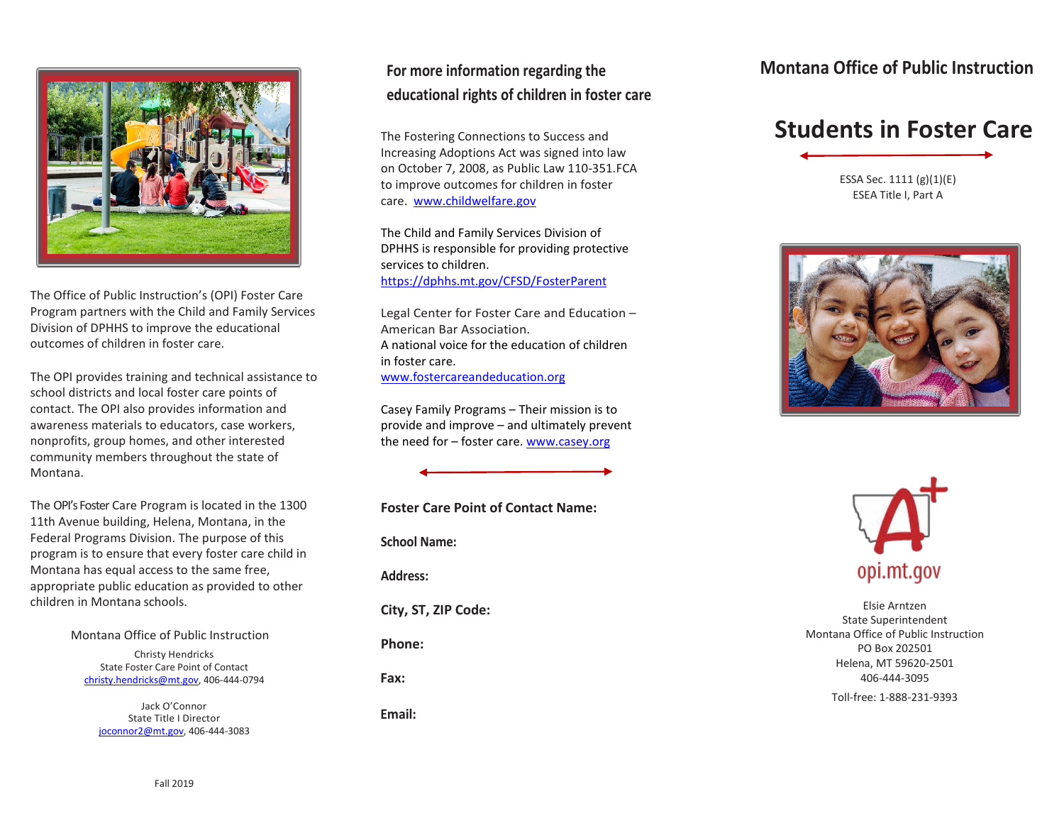

The Office of Public Instruction's (OPI) Foster Care Program partners with the Child and Family Services Division of DPHHS to improve the educational outcomes of children in foster care.

The OPI provides training and technical assistance to school districts and local foster care points of contact. The OPI also provides information and awareness materials to educators, case workers, nonprofits, group homes, and other interested community members throughout the state of Montana.

The OPI's Foster Care Program is located in the 1300 11th Avenue building, Helena, Montana, in the Federal Programs Division. The purpose of this program is to ensure that every foster care child in Montana has equal access to the same free, appropriate public education as provided to other children in Montana schools.

> Montana Office of Public Instruction Christy Hendricks

State Foster Care Point of Contact [christy.hendricks@mt.gov,](mailto:christy.hendricks@mt.gov) 406-444-0794

Jack O'Connor State Title I Director [joconnor2@mt.gov,](mailto:joconnor2@mt.gov) 406-444-3083

## **For more information regarding the educational rights of children in foster care**

The Fostering Connections to Success and Increasing Adoptions Act was signed into law on October 7, 2008, as Public Law 110-351.FCA to improve outcomes for children in foster care. [www.childwelfare.gov](http://www.childwelfare.gov/)

The Child and Family Services Division of DPHHS is responsible for providing protective services to children. <https://dphhs.mt.gov/CFSD/FosterParent>

Legal Center for Foster Care and Education – American Bar Association. A national voice for the education of children in foster care. [www.fostercareandeducation.org](http://www.fostercareandeducation.org/)

Casey Family Programs – Their mission is to provide and improve – and ultimately prevent the need for – foster care. [www.casey.org](http://www.casey.org/)

**Foster Care Point of Contact Name: School Name: Address: City, ST, ZIP Code: Phone: Fax: Email:**

### **Montana Office of Public Instruction**

# **Students in Foster Care**

ESSA Sec. 1111 (g)(1)(E) ESEA Title I, Part A





Elsie Arntzen State Superintendent Montana Office of Public Instruction PO Box 202501 Helena, MT 59620-2501 406-444-3095 Toll-free: 1-888-231-9393